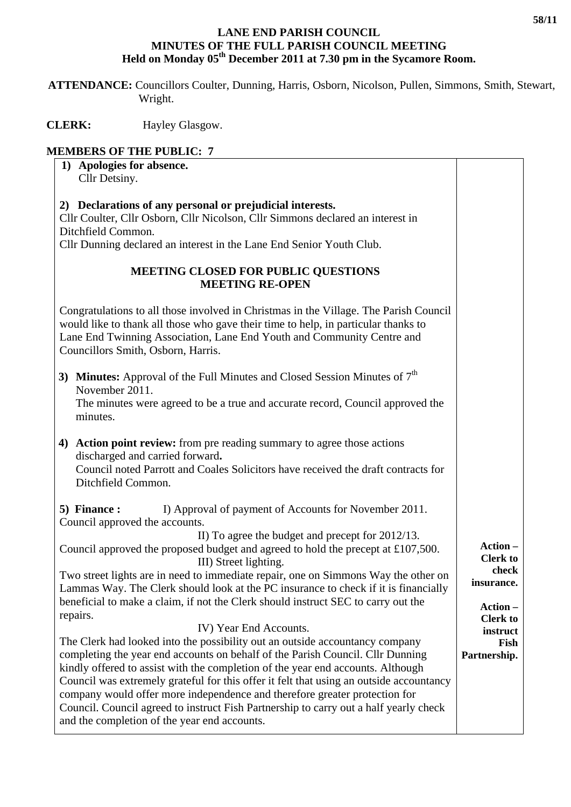## **LANE END PARISH COUNCIL MINUTES OF THE FULL PARISH COUNCIL MEETING**  Held on Monday 05<sup>th</sup> December 2011 at 7.30 pm in the Sycamore Room.

 **ATTENDANCE:** Councillors Coulter, Dunning, Harris, Osborn, Nicolson, Pullen, Simmons, Smith, Stewart, Wright.

**CLERK:** Hayley Glasgow.

## **MEMBERS OF THE PUBLIC: 7**

| 1) Apologies for absence.<br>Cllr Detsiny.                                                                                                                                                                                                                                                                                                                                                                                                                                                                                                                                                    |                                                                                  |
|-----------------------------------------------------------------------------------------------------------------------------------------------------------------------------------------------------------------------------------------------------------------------------------------------------------------------------------------------------------------------------------------------------------------------------------------------------------------------------------------------------------------------------------------------------------------------------------------------|----------------------------------------------------------------------------------|
|                                                                                                                                                                                                                                                                                                                                                                                                                                                                                                                                                                                               |                                                                                  |
| 2) Declarations of any personal or prejudicial interests.<br>Cllr Coulter, Cllr Osborn, Cllr Nicolson, Cllr Simmons declared an interest in<br>Ditchfield Common.<br>Cllr Dunning declared an interest in the Lane End Senior Youth Club.                                                                                                                                                                                                                                                                                                                                                     |                                                                                  |
| <b>MEETING CLOSED FOR PUBLIC QUESTIONS</b><br><b>MEETING RE-OPEN</b>                                                                                                                                                                                                                                                                                                                                                                                                                                                                                                                          |                                                                                  |
| Congratulations to all those involved in Christmas in the Village. The Parish Council<br>would like to thank all those who gave their time to help, in particular thanks to<br>Lane End Twinning Association, Lane End Youth and Community Centre and<br>Councillors Smith, Osborn, Harris.                                                                                                                                                                                                                                                                                                   |                                                                                  |
| 3) Minutes: Approval of the Full Minutes and Closed Session Minutes of $7th$<br>November 2011.<br>The minutes were agreed to be a true and accurate record, Council approved the<br>minutes.                                                                                                                                                                                                                                                                                                                                                                                                  |                                                                                  |
| 4) Action point review: from pre reading summary to agree those actions<br>discharged and carried forward.<br>Council noted Parrott and Coales Solicitors have received the draft contracts for<br>Ditchfield Common.                                                                                                                                                                                                                                                                                                                                                                         |                                                                                  |
| 5) Finance :<br>I) Approval of payment of Accounts for November 2011.<br>Council approved the accounts.                                                                                                                                                                                                                                                                                                                                                                                                                                                                                       |                                                                                  |
| II) To agree the budget and precept for 2012/13.<br>Council approved the proposed budget and agreed to hold the precept at £107,500.<br>III) Street lighting.<br>Two street lights are in need to immediate repair, one on Simmons Way the other on<br>Lammas Way. The Clerk should look at the PC insurance to check if it is financially<br>beneficial to make a claim, if not the Clerk should instruct SEC to carry out the<br>repairs.                                                                                                                                                   | Action -<br><b>Clerk to</b><br>check<br>insurance.<br>Action-<br><b>Clerk to</b> |
| IV) Year End Accounts.<br>The Clerk had looked into the possibility out an outside accountancy company<br>completing the year end accounts on behalf of the Parish Council. Cllr Dunning<br>kindly offered to assist with the completion of the year end accounts. Although<br>Council was extremely grateful for this offer it felt that using an outside accountancy<br>company would offer more independence and therefore greater protection for<br>Council. Council agreed to instruct Fish Partnership to carry out a half yearly check<br>and the completion of the year end accounts. | instruct<br>Fish<br>Partnership.                                                 |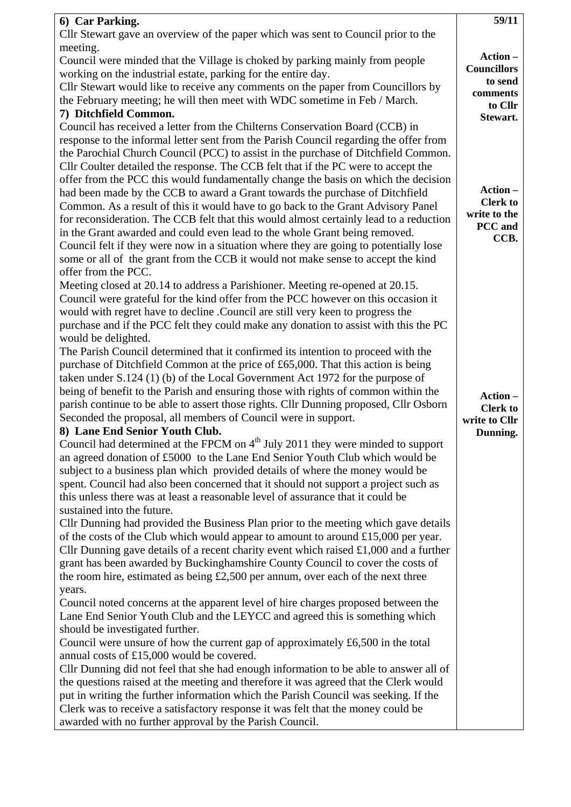| 6) Car Parking.                                                                             | 59/11                            |
|---------------------------------------------------------------------------------------------|----------------------------------|
| Cllr Stewart gave an overview of the paper which was sent to Council prior to the           |                                  |
| meeting.                                                                                    |                                  |
| Council were minded that the Village is choked by parking mainly from people                | Action-                          |
| working on the industrial estate, parking for the entire day.                               | <b>Councillors</b>               |
| Cllr Stewart would like to receive any comments on the paper from Councillors by            | to send                          |
| the February meeting; he will then meet with WDC sometime in Feb / March.                   | comments                         |
| 7) Ditchfield Common.                                                                       | to Cllr                          |
| Council has received a letter from the Chilterns Conservation Board (CCB) in                | Stewart.                         |
| response to the informal letter sent from the Parish Council regarding the offer from       |                                  |
| the Parochial Church Council (PCC) to assist in the purchase of Ditchfield Common.          |                                  |
| Cllr Coulter detailed the response. The CCB felt that if the PC were to accept the          |                                  |
| offer from the PCC this would fundamentally change the basis on which the decision          |                                  |
| had been made by the CCB to award a Grant towards the purchase of Ditchfield                | Action-                          |
| Common. As a result of this it would have to go back to the Grant Advisory Panel            | <b>Clerk to</b>                  |
| for reconsideration. The CCB felt that this would almost certainly lead to a reduction      | write to the                     |
| in the Grant awarded and could even lead to the whole Grant being removed.                  | PCC and                          |
| Council felt if they were now in a situation where they are going to potentially lose       | CCB.                             |
| some or all of the grant from the CCB it would not make sense to accept the kind            |                                  |
| offer from the PCC.                                                                         |                                  |
| Meeting closed at 20.14 to address a Parishioner. Meeting re-opened at 20.15.               |                                  |
| Council were grateful for the kind offer from the PCC however on this occasion it           |                                  |
| would with regret have to decline .Council are still very keen to progress the              |                                  |
| purchase and if the PCC felt they could make any donation to assist with this the PC        |                                  |
| would be delighted.                                                                         |                                  |
| The Parish Council determined that it confirmed its intention to proceed with the           |                                  |
| purchase of Ditchfield Common at the price of £65,000. That this action is being            |                                  |
| taken under S.124 (1) (b) of the Local Government Act 1972 for the purpose of               |                                  |
| being of benefit to the Parish and ensuring those with rights of common within the          |                                  |
| parish continue to be able to assert those rights. Cllr Dunning proposed, Cllr Osborn       | Action-                          |
| Seconded the proposal, all members of Council were in support.                              | <b>Clerk to</b><br>write to Cllr |
| 8) Lane End Senior Youth Club.                                                              | Dunning.                         |
| Council had determined at the FPCM on 4 <sup>th</sup> July 2011 they were minded to support |                                  |
| an agreed donation of £5000 to the Lane End Senior Youth Club which would be                |                                  |
| subject to a business plan which provided details of where the money would be               |                                  |
| spent. Council had also been concerned that it should not support a project such as         |                                  |
| this unless there was at least a reasonable level of assurance that it could be             |                                  |
| sustained into the future.                                                                  |                                  |
| Cllr Dunning had provided the Business Plan prior to the meeting which gave details         |                                  |
| of the costs of the Club which would appear to amount to around $£15,000$ per year.         |                                  |
| Cllr Dunning gave details of a recent charity event which raised $£1,000$ and a further     |                                  |
| grant has been awarded by Buckinghamshire County Council to cover the costs of              |                                  |
| the room hire, estimated as being $£2,500$ per annum, over each of the next three           |                                  |
| years.                                                                                      |                                  |
| Council noted concerns at the apparent level of hire charges proposed between the           |                                  |
| Lane End Senior Youth Club and the LEYCC and agreed this is something which                 |                                  |
| should be investigated further.                                                             |                                  |
| Council were unsure of how the current gap of approximately £6,500 in the total             |                                  |
| annual costs of £15,000 would be covered.                                                   |                                  |
| Cllr Dunning did not feel that she had enough information to be able to answer all of       |                                  |
| the questions raised at the meeting and therefore it was agreed that the Clerk would        |                                  |
| put in writing the further information which the Parish Council was seeking. If the         |                                  |
| Clerk was to receive a satisfactory response it was felt that the money could be            |                                  |
| awarded with no further approval by the Parish Council.                                     |                                  |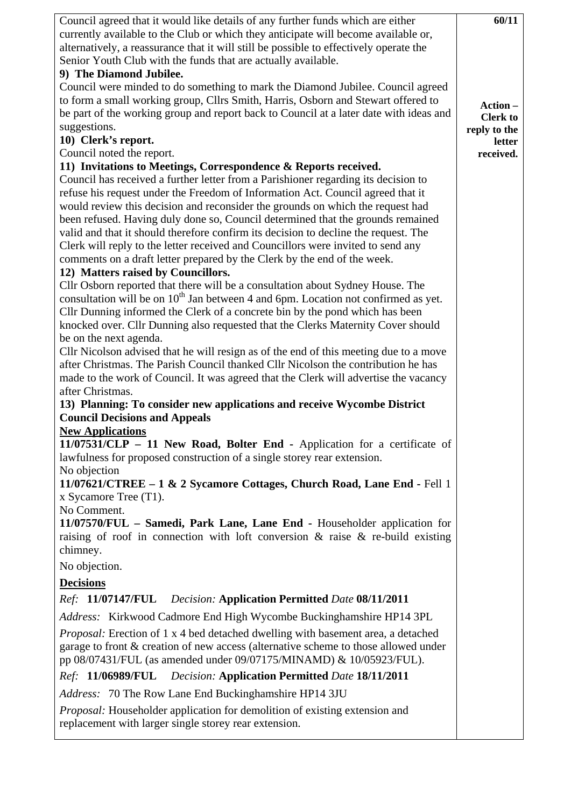| Council agreed that it would like details of any further funds which are either                                                                                   | 60/11           |
|-------------------------------------------------------------------------------------------------------------------------------------------------------------------|-----------------|
| currently available to the Club or which they anticipate will become available or,                                                                                |                 |
| alternatively, a reassurance that it will still be possible to effectively operate the                                                                            |                 |
| Senior Youth Club with the funds that are actually available.                                                                                                     |                 |
| 9) The Diamond Jubilee.                                                                                                                                           |                 |
| Council were minded to do something to mark the Diamond Jubilee. Council agreed                                                                                   |                 |
| to form a small working group, Cllrs Smith, Harris, Osborn and Stewart offered to                                                                                 | Action-         |
| be part of the working group and report back to Council at a later date with ideas and                                                                            | <b>Clerk to</b> |
| suggestions.                                                                                                                                                      | reply to the    |
| 10) Clerk's report.                                                                                                                                               | letter          |
| Council noted the report.                                                                                                                                         | received.       |
| 11) Invitations to Meetings, Correspondence & Reports received.                                                                                                   |                 |
| Council has received a further letter from a Parishioner regarding its decision to                                                                                |                 |
| refuse his request under the Freedom of Information Act. Council agreed that it<br>would review this decision and reconsider the grounds on which the request had |                 |
| been refused. Having duly done so, Council determined that the grounds remained                                                                                   |                 |
| valid and that it should therefore confirm its decision to decline the request. The                                                                               |                 |
| Clerk will reply to the letter received and Councillors were invited to send any                                                                                  |                 |
| comments on a draft letter prepared by the Clerk by the end of the week.                                                                                          |                 |
| 12) Matters raised by Councillors.                                                                                                                                |                 |
| Cllr Osborn reported that there will be a consultation about Sydney House. The                                                                                    |                 |
| consultation will be on $10^{th}$ Jan between 4 and 6pm. Location not confirmed as yet.                                                                           |                 |
| Cllr Dunning informed the Clerk of a concrete bin by the pond which has been                                                                                      |                 |
| knocked over. Cllr Dunning also requested that the Clerks Maternity Cover should                                                                                  |                 |
| be on the next agenda.                                                                                                                                            |                 |
| Cllr Nicolson advised that he will resign as of the end of this meeting due to a move                                                                             |                 |
| after Christmas. The Parish Council thanked Cllr Nicolson the contribution he has                                                                                 |                 |
| made to the work of Council. It was agreed that the Clerk will advertise the vacancy                                                                              |                 |
| after Christmas.                                                                                                                                                  |                 |
| 13) Planning: To consider new applications and receive Wycombe District                                                                                           |                 |
| <b>Council Decisions and Appeals</b>                                                                                                                              |                 |
| <b>New Applications</b>                                                                                                                                           |                 |
| 11/07531/CLP - 11 New Road, Bolter End - Application for a certificate of                                                                                         |                 |
| lawfulness for proposed construction of a single storey rear extension.                                                                                           |                 |
| No objection                                                                                                                                                      |                 |
| 11/07621/CTREE - 1 & 2 Sycamore Cottages, Church Road, Lane End - Fell 1                                                                                          |                 |
| x Sycamore Tree $(T1)$ .<br>No Comment.                                                                                                                           |                 |
| 11/07570/FUL – Samedi, Park Lane, Lane End - Householder application for                                                                                          |                 |
| raising of roof in connection with loft conversion $\&$ raise $\&$ re-build existing                                                                              |                 |
| chimney.                                                                                                                                                          |                 |
| No objection.                                                                                                                                                     |                 |
|                                                                                                                                                                   |                 |
| <b>Decisions</b>                                                                                                                                                  |                 |
| <i>Ref:</i> 11/07147/FUL<br><b>Decision: Application Permitted Date 08/11/2011</b>                                                                                |                 |
| Address: Kirkwood Cadmore End High Wycombe Buckinghamshire HP14 3PL                                                                                               |                 |
| <i>Proposal:</i> Erection of 1 x 4 bed detached dwelling with basement area, a detached                                                                           |                 |
| garage to front & creation of new access (alternative scheme to those allowed under                                                                               |                 |
| pp 08/07431/FUL (as amended under 09/07175/MINAMD) & 10/05923/FUL).                                                                                               |                 |
| Ref: 11/06989/FUL Decision: Application Permitted Date 18/11/2011                                                                                                 |                 |
| Address: 70 The Row Lane End Buckinghamshire HP14 3JU                                                                                                             |                 |
| Proposal: Householder application for demolition of existing extension and                                                                                        |                 |
| replacement with larger single storey rear extension.                                                                                                             |                 |
|                                                                                                                                                                   |                 |